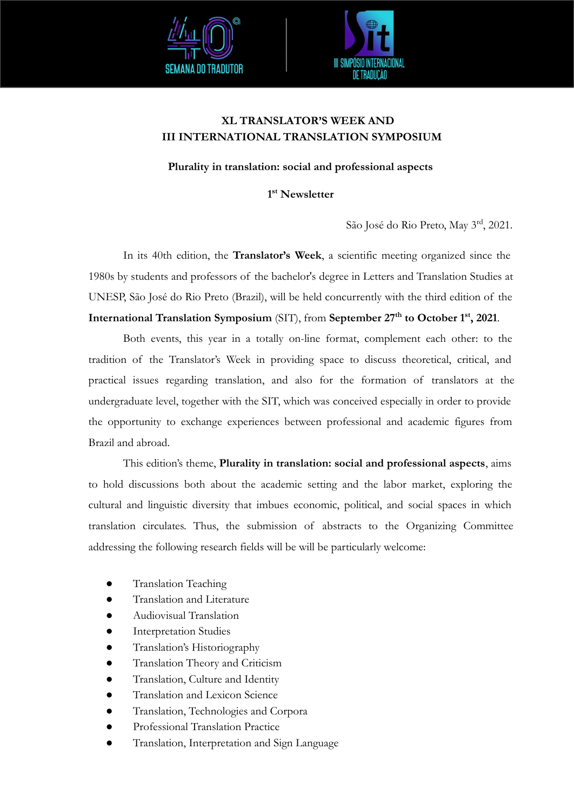



# **XL TRANSLATOR'S WEEK AND III INTERNATIONAL TRANSLATION SYMPOSIUM**

**Plurality in translation: social and professional aspects**

**1 st Newsletter**

São José do Rio Preto, May 3rd, 2021.

 In its 40th edition, the **Translator's Week**, a scientific meeting organized since the 1980s by students and professors of the bachelor's degree in Letters and Translation Studies at UNESP, São José do Rio Preto (Brazil), will be held concurrently with the third edition of the **International Translation Symposium** (SIT), from **September 27th to October 1st, 2021**.

 Both events, this year in a totally on-line format, complement each other: to the tradition of the Translator's Week in providing space to discuss theoretical, critical, and practical issues regarding translation, and also for the formation of translators at the undergraduate level, together with the SIT, which was conceived especially in order to provide the opportunity to exchange experiences between professional and academic figures from Brazil and abroad.

 This edition's theme, **Plurality in translation: social and professional aspects**, aims to hold discussions both about the academic setting and the labor market, exploring the cultural and linguistic diversity that imbues economic, political, and social spaces in which translation circulates. Thus, the submission of abstracts to the Organizing Committee addressing the following research fields will be will be particularly welcome:

- **Translation Teaching**
- Translation and Literature
- Audiovisual Translation
- Interpretation Studies
- Translation's Historiography
- Translation Theory and Criticism
- Translation, Culture and Identity
- Translation and Lexicon Science
- Translation, Technologies and Corpora
- Professional Translation Practice
- Translation, Interpretation and Sign Language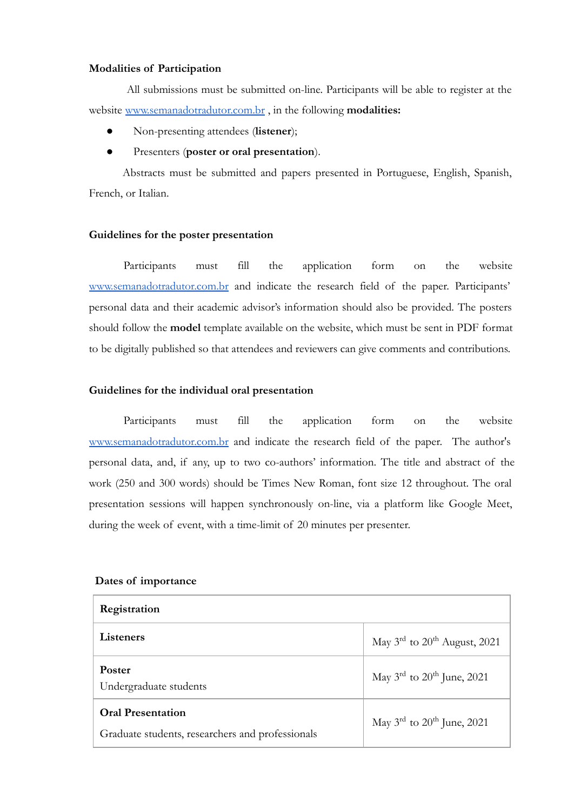### **Modalities of Participation**

 All submissions must be submitted on-line. Participants will be able to register at the website [www.semanadotradutor.com.br](http://www.semanadotradutor.com.br/) , in the following **modalities:**

- Non-presenting attendees (**listener**);
- Presenters (**poster or oral presentation**).

Abstracts must be submitted and papers presented in Portuguese, English, Spanish, French, or Italian.

## **Guidelines for the poster presentation**

Participants must fill the application form on the website [www.semanadotradutor.com.br](http://www.semanadotradutor.com.br/) and indicate the research field of the paper. Participants' personal data and their academic advisor's information should also be provided. The posters should follow the **model** template available on the website, which must be sent in PDF format to be digitally published so that attendees and reviewers can give comments and contributions.

### **Guidelines for the individual oral presentation**

 Participants must fill the application form on the website [www.semanadotradutor.com.br](http://www.semanadotradutor.com.br/) and indicate the research field of the paper. The author's personal data, and, if any, up to two co-authors' information. The title and abstract of the work (250 and 300 words) should be Times New Roman, font size 12 throughout. The oral presentation sessions will happen synchronously on-line, via a platform like Google Meet, during the week of event, with a time-limit of 20 minutes per presenter.

#### **Dates of importance**

| Registration                                                                 |                                                      |
|------------------------------------------------------------------------------|------------------------------------------------------|
| Listeners                                                                    | May $3^{\text{rd}}$ to $20^{\text{th}}$ August, 2021 |
| <b>Poster</b><br>Undergraduate students                                      | May $3^{\text{rd}}$ to $20^{\text{th}}$ June, 2021   |
| <b>Oral Presentation</b><br>Graduate students, researchers and professionals | May $3^{\text{rd}}$ to $20^{\text{th}}$ June, 2021   |